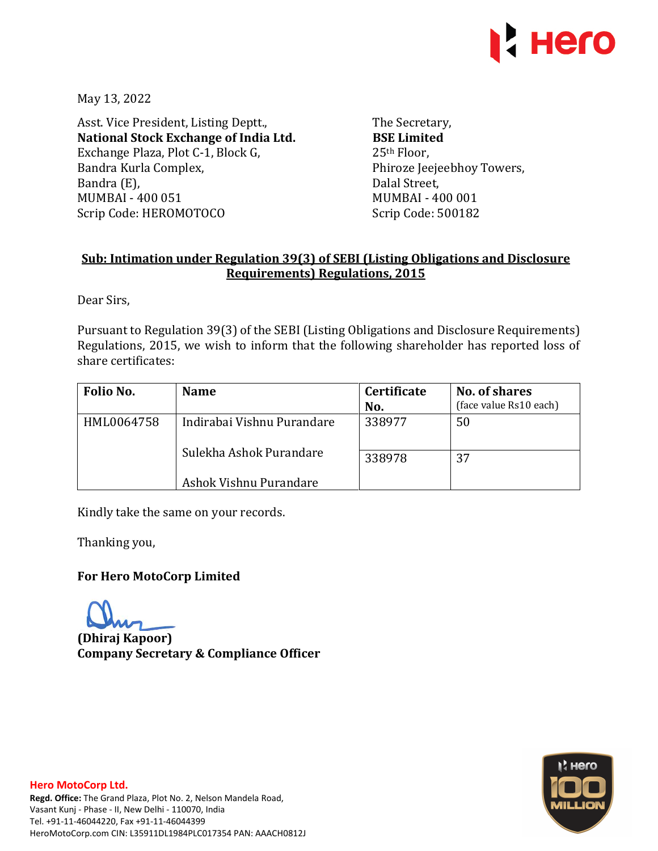

May 13, 2022

Asst. Vice President, Listing Deptt., **National Stock Exchange of India Ltd.**  Exchange Plaza, Plot C-1, Block G, Bandra Kurla Complex, Bandra (E), MUMBAI - 400 051 Scrip Code: HEROMOTOCO

The Secretary, **BSE Limited**  25th Floor, Phiroze Jeejeebhoy Towers, Dalal Street, MUMBAI - 400 001 Scrip Code: 500182

## **Sub: Intimation under Regulation 39(3) of SEBI (Listing Obligations and Disclosure Requirements) Regulations, 2015**

Dear Sirs,

Pursuant to Regulation 39(3) of the SEBI (Listing Obligations and Disclosure Requirements) Regulations, 2015, we wish to inform that the following shareholder has reported loss of share certificates:

| Folio No.  | <b>Name</b>                                                                     | <b>Certificate</b> | No. of shares          |  |
|------------|---------------------------------------------------------------------------------|--------------------|------------------------|--|
|            |                                                                                 | No.                | (face value Rs10 each) |  |
| HML0064758 | Indirabai Vishnu Purandare<br>Sulekha Ashok Purandare<br>Ashok Vishnu Purandare | 338977             | 50                     |  |
|            |                                                                                 | 338978             | 37                     |  |

Kindly take the same on your records.

Thanking you,

## **For Hero MotoCorp Limited**

**(Dhiraj Kapoor) Company Secretary & Compliance Officer**



## **Hero MotoCorp Ltd.**